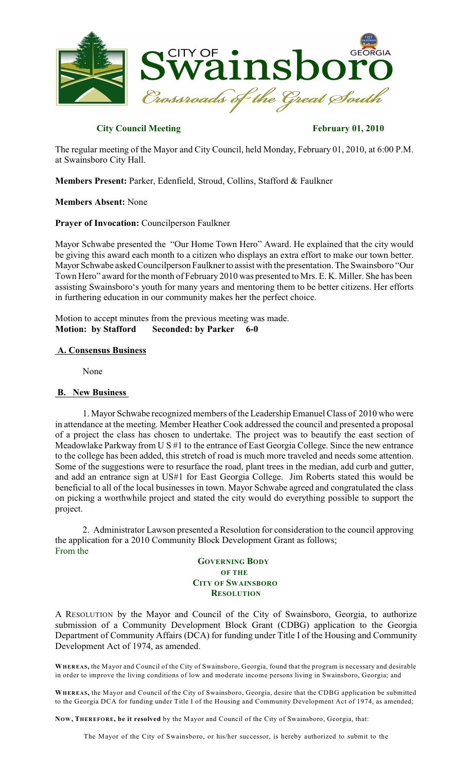

# **City Council Meeting February 01, 2010**

The regular meeting of the Mayor and City Council, held Monday, February 01, 2010, at 6:00 P.M. at Swainsboro City Hall.

**Members Present:** Parker, Edenfield, Stroud, Collins, Stafford & Faulkner

**Members Absent:** None

# **Prayer of Invocation:** Councilperson Faulkner

Mayor Schwabe presented the "Our Home Town Hero" Award. He explained that the city would be giving this award each month to a citizen who displays an extra effort to make our town better. Mayor Schwabe asked Councilperson Faulkner to assist with the presentation. The Swainsboro "Our Town Hero" award for the month of February 2010 was presented to Mrs. E. K. Miller. She has been assisting Swainsboro's youth for many years and mentoring them to be better citizens. Her efforts in furthering education in our community makes her the perfect choice.

Motion to accept minutes from the previous meeting was made. **Motion: by Stafford Seconded: by Parker 6-0**

# **A. Consensus Business**

None

# **B. New Business**

1. Mayor Schwabe recognized members of the Leadership Emanuel Class of 2010 who were in attendance at the meeting. Member Heather Cook addressed the council and presented a proposal of a project the class has chosen to undertake. The project was to beautify the east section of Meadowlake Parkway from U S #1 to the entrance of East Georgia College. Since the new entrance to the college has been added, this stretch of road is much more traveled and needs some attention. Some of the suggestions were to resurface the road, plant trees in the median, add curb and gutter, and add an entrance sign at US#1 for East Georgia College. Jim Roberts stated this would be beneficial to all of the local businesses in town. Mayor Schwabe agreed and congratulated the class on picking a worthwhile project and stated the city would do everything possible to support the project.

2. Administrator Lawson presented a Resolution for consideration to the council approving the application for a 2010 Community Block Development Grant as follows; From the

# **GOVERNING BODY OF THE CITY OF SWAINSBORO RESOLUTION**

A RESOLUTION by the Mayor and Council of the City of Swainsboro, Georgia, to authorize submission of a Community Development Block Grant (CDBG) application to the Georgia Department of Community Affairs (DCA) for funding under Title I of the Housing and Community Development Act of 1974, as amended.

**WHEREAS,** the Mayor and Council of the City of Swainsboro, Georgia, found that the program is necessary and desirable in order to improve the living conditions of low and moderate income persons living in Swainsboro, Georgia; and

**WHEREAS,** the Mayor and Council of the City of Swainsboro, Georgia, desire that the CDBG application be submitted to the Georgia DCA for funding under Title I of the Housing and Community Development Act of 1974, as amended;

**NOW, THEREFORE, be it resolved** by the Mayor and Council of the City of Swainsboro, Georgia, that:

The Mayor of the City of Swainsboro, or his/her successor, is hereby authorized to submit to the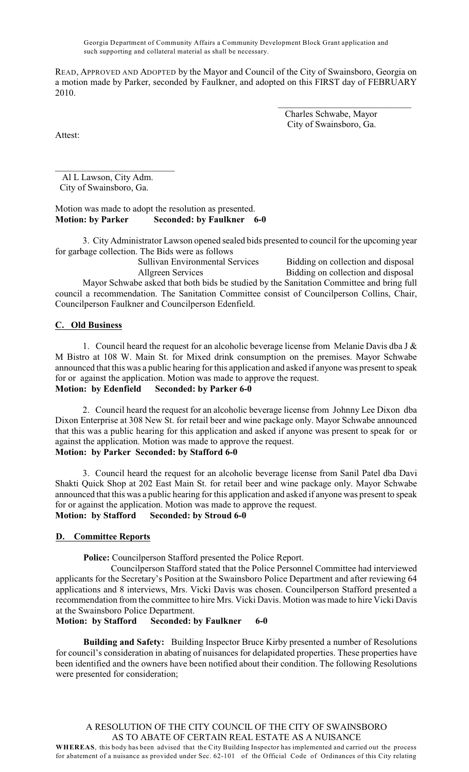Georgia Department of Community Affairs a Community Development Block Grant application and such supporting and collateral material as shall be necessary.

READ, APPROVED AND ADOPTED by the Mayor and Council of the City of Swainsboro, Georgia on a motion made by Parker, seconded by Faulkner, and adopted on this FIRST day of FEBRUARY 2010.

> Charles Schwabe, Mayor City of Swainsboro, Ga.

 $\overline{\phantom{a}}$  , which is a set of the set of the set of the set of the set of the set of the set of the set of the set of the set of the set of the set of the set of the set of the set of the set of the set of the set of th

Attest:

 Al L Lawson, City Adm. City of Swainsboro, Ga.

Motion was made to adopt the resolution as presented. **Motion: by Parker Seconded: by Faulkner 6-0**

3. City Administrator Lawson opened sealed bids presented to council for the upcoming year for garbage collection. The Bids were as follows

Sullivan Environmental Services Bidding on collection and disposal Allgreen Services Bidding on collection and disposal

Mayor Schwabe asked that both bids be studied by the Sanitation Committee and bring full council a recommendation. The Sanitation Committee consist of Councilperson Collins, Chair, Councilperson Faulkner and Councilperson Edenfield.

# **C. Old Business**

1. Council heard the request for an alcoholic beverage license from Melanie Davis dba J & M Bistro at 108 W. Main St. for Mixed drink consumption on the premises. Mayor Schwabe announced that this was a public hearing for this application and asked if anyone was present to speak for or against the application. Motion was made to approve the request.

# **Motion: by Edenfield Seconded: by Parker 6-0**

2. Council heard the request for an alcoholic beverage license from Johnny Lee Dixon dba Dixon Enterprise at 308 New St. for retail beer and wine package only. Mayor Schwabe announced that this was a public hearing for this application and asked if anyone was present to speak for or against the application. Motion was made to approve the request. **Motion: by Parker Seconded: by Stafford 6-0**

3. Council heard the request for an alcoholic beverage license from Sanil Patel dba Davi Shakti Quick Shop at 202 East Main St. for retail beer and wine package only. Mayor Schwabe announced that this was a public hearing for this application and asked if anyone was present to speak for or against the application. Motion was made to approve the request. **Motion: by Stafford Seconded: by Stroud 6-0**

# **D. Committee Reports**

**Police:** Councilperson Stafford presented the Police Report.

Councilperson Stafford stated that the Police Personnel Committee had interviewed applicants for the Secretary's Position at the Swainsboro Police Department and after reviewing 64 applications and 8 interviews, Mrs. Vicki Davis was chosen. Councilperson Stafford presented a recommendation from the committee to hire Mrs. Vicki Davis. Motion was made to hire Vicki Davis at the Swainsboro Police Department.

#### **Motion: by Stafford Seconded: by Faulkner 6-0**

**Building and Safety:** Building Inspector Bruce Kirby presented a number of Resolutions for council's consideration in abating of nuisances for delapidated properties. These properties have been identified and the owners have been notified about their condition. The following Resolutions were presented for consideration;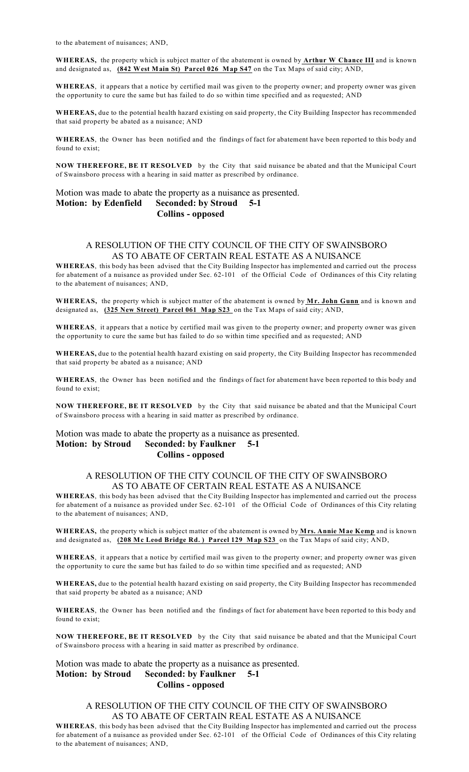to the abatement of nuisances; AND,

**WHEREAS,** the property which is subject matter of the abatement is owned by **Arthur W Chance III** and is known and designated as, **(842 West Main St) Parcel 026 Map S47** on the Tax Maps of said city; AND,

**WHEREAS**, it appears that a notice by certified mail was given to the property owner; and property owner was given the opportunity to cure the same but has failed to do so within time specified and as requested; AND

**WHEREAS,** due to the potential health hazard existing on said property, the City Building Inspector has recommended that said property be abated as a nuisance; AND

**WHEREAS**, the Owner has been notified and the findings of fact for abatement have been reported to this body and found to exist:

**NOW THEREFORE, BE IT RESOLVED** by the City that said nuisance be abated and that the Municipal Court of Swainsboro process with a hearing in said matter as prescribed by ordinance.

#### Motion was made to abate the property as a nuisance as presented. **Motion: by Edenfield Seconded: by Stroud 5-1 Collins - opposed**

### A RESOLUTION OF THE CITY COUNCIL OF THE CITY OF SWAINSBORO AS TO ABATE OF CERTAIN REAL ESTATE AS A NUISANCE

**WHEREAS**, this body has been advised that the City Building Inspector has implemented and carried out the process for abatement of a nuisance as provided under Sec. 62-101 of the Official Code of Ordinances of this City relating to the abatement of nuisances; AND,

**WHEREAS,** the property which is subject matter of the abatement is owned by **Mr. John Gunn** and is known and designated as, **(325 New Street) Parcel 061 Map S23** on the Tax Maps of said city; AND,

**WHEREAS**, it appears that a notice by certified mail was given to the property owner; and property owner was given the opportunity to cure the same but has failed to do so within time specified and as requested; AND

**WHEREAS,** due to the potential health hazard existing on said property, the City Building Inspector has recommended that said property be abated as a nuisance; AND

**WHEREAS**, the Owner has been notified and the findings of fact for abatement have been reported to this body and found to exist;

**NOW THEREFORE, BE IT RESOLVED** by the City that said nuisance be abated and that the Municipal Court of Swainsboro process with a hearing in said matter as prescribed by ordinance.

#### Motion was made to abate the property as a nuisance as presented. **Motion: by Stroud Seconded: by Faulkner 5-1 Collins - opposed**

#### A RESOLUTION OF THE CITY COUNCIL OF THE CITY OF SWAINSBORO AS TO ABATE OF CERTAIN REAL ESTATE AS A NUISANCE

**WHEREAS**, this body has been advised that the City Building Inspector has implemented and carried out the process for abatement of a nuisance as provided under Sec. 62-101 of the Official Code of Ordinances of this City relating to the abatement of nuisances; AND,

**WHEREAS,** the property which is subject matter of the abatement is owned by **Mrs. Annie Mae Kemp** and is known and designated as, **(208 Mc Leod Bridge Rd. ) Parcel 129 Map S23** on the Tax Maps of said city; AND,

**WHEREAS**, it appears that a notice by certified mail was given to the property owner; and property owner was given the opportunity to cure the same but has failed to do so within time specified and as requested; AND

**WHEREAS,** due to the potential health hazard existing on said property, the City Building Inspector has recommended that said property be abated as a nuisance; AND

**WHEREAS**, the Owner has been notified and the findings of fact for abatement have been reported to this body and found to exist;

**NOW THEREFORE, BE IT RESOLVED** by the City that said nuisance be abated and that the Municipal Court of Swainsboro process with a hearing in said matter as prescribed by ordinance.

Motion was made to abate the property as a nuisance as presented. **Motion: by Stroud Seconded: by Faulkner 5-1 Collins - opposed**

> A RESOLUTION OF THE CITY COUNCIL OF THE CITY OF SWAINSBORO AS TO ABATE OF CERTAIN REAL ESTATE AS A NUISANCE

**WHEREAS**, this body has been advised that the City Building Inspector has implemented and carried out the process for abatement of a nuisance as provided under Sec. 62-101 of the Official Code of Ordinances of this City relating to the abatement of nuisances; AND,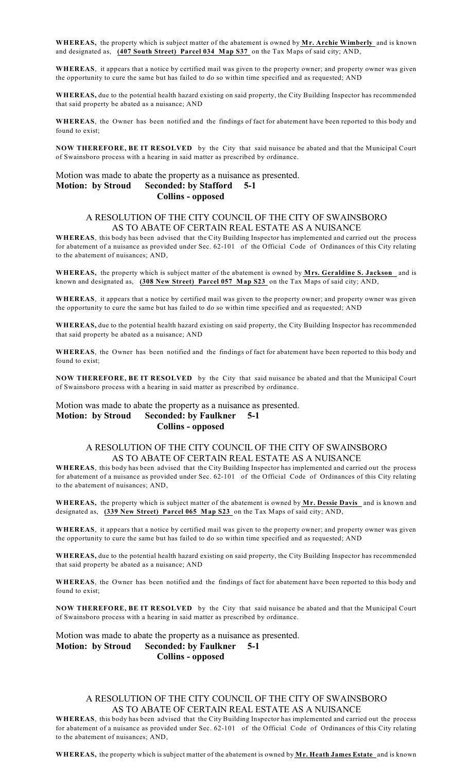**WHEREAS,** the property which is subject matter of the abatement is owned by **Mr. Archie Wimberly** and is known and designated as, **(407 South Street) Parcel 034 Map S37** on the Tax Maps of said city; AND,

**WHEREAS**, it appears that a notice by certified mail was given to the property owner; and property owner was given the opportunity to cure the same but has failed to do so within time specified and as requested; AND

**WHEREAS,** due to the potential health hazard existing on said property, the City Building Inspector has recommended that said property be abated as a nuisance; AND

**WHEREAS**, the Owner has been notified and the findings of fact for abatement have been reported to this body and found to exist;

**NOW THEREFORE, BE IT RESOLVED** by the City that said nuisance be abated and that the Municipal Court of Swainsboro process with a hearing in said matter as prescribed by ordinance.

#### Motion was made to abate the property as a nuisance as presented. **Motion: by Stroud Seconded: by Stafford 5-1 Collins - opposed**

#### A RESOLUTION OF THE CITY COUNCIL OF THE CITY OF SWAINSBORO AS TO ABATE OF CERTAIN REAL ESTATE AS A NUISANCE

**WHEREAS**, this body has been advised that the City Building Inspector has implemented and carried out the process for abatement of a nuisance as provided under Sec. 62-101 of the Official Code of Ordinances of this City relating to the abatement of nuisances; AND,

**WHEREAS,** the property which is subject matter of the abatement is owned by **Mrs. Geraldine S. Jackson** and is known and designated as, **(308 New Street) Parcel 057 Map S23** on the Tax Maps of said city; AND,

**WHEREAS**, it appears that a notice by certified mail was given to the property owner; and property owner was given the opportunity to cure the same but has failed to do so within time specified and as requested; AND

**WHEREAS,** due to the potential health hazard existing on said property, the City Building Inspector has recommended that said property be abated as a nuisance; AND

**WHEREAS**, the Owner has been notified and the findings of fact for abatement have been reported to this body and found to exist;

**NOW THEREFORE, BE IT RESOLVED** by the City that said nuisance be abated and that the Municipal Court of Swainsboro process with a hearing in said matter as prescribed by ordinance.

### Motion was made to abate the property as a nuisance as presented. **Motion: by Stroud Seconded: by Faulkner 5-1 Collins - opposed**

#### A RESOLUTION OF THE CITY COUNCIL OF THE CITY OF SWAINSBORO AS TO ABATE OF CERTAIN REAL ESTATE AS A NUISANCE

**WHEREAS**, this body has been advised that the City Building Inspector has implemented and carried out the process for abatement of a nuisance as provided under Sec. 62-101 of the Official Code of Ordinances of this City relating to the abatement of nuisances; AND,

**WHEREAS,** the property which is subject matter of the abatement is owned by **Mr. Dessie Davis** and is known and designated as, **(339 New Street) Parcel 065 Map S23** on the Tax Maps of said city; AND,

**WHEREAS**, it appears that a notice by certified mail was given to the property owner; and property owner was given the opportunity to cure the same but has failed to do so within time specified and as requested; AND

**WHEREAS,** due to the potential health hazard existing on said property, the City Building Inspector has recommended that said property be abated as a nuisance; AND

**WHEREAS**, the Owner has been notified and the findings of fact for abatement have been reported to this body and found to exist;

**NOW THEREFORE, BE IT RESOLVED** by the City that said nuisance be abated and that the Municipal Court of Swainsboro process with a hearing in said matter as prescribed by ordinance.

Motion was made to abate the property as a nuisance as presented. **Motion: by Stroud Seconded: by Faulkner 5-1 Collins - opposed**

# A RESOLUTION OF THE CITY COUNCIL OF THE CITY OF SWAINSBORO AS TO ABATE OF CERTAIN REAL ESTATE AS A NUISANCE

**WHEREAS**, this body has been advised that the City Building Inspector has implemented and carried out the process for abatement of a nuisance as provided under Sec. 62-101 of the Official Code of Ordinances of this City relating to the abatement of nuisances; AND,

**WHEREAS,** the property which is subject matter of the abatement is owned by **Mr. Heath James Estate** and is known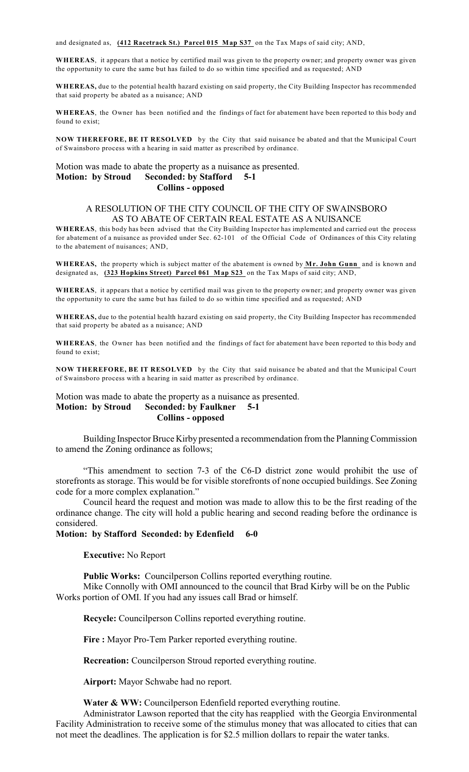and designated as, **(412 Racetrack St.) Parcel 015 Map S37** on the Tax Maps of said city; AND,

**WHEREAS**, it appears that a notice by certified mail was given to the property owner; and property owner was given the opportunity to cure the same but has failed to do so within time specified and as requested; AND

**WHEREAS,** due to the potential health hazard existing on said property, the City Building Inspector has recommended that said property be abated as a nuisance; AND

**WHEREAS**, the Owner has been notified and the findings of fact for abatement have been reported to this body and found to exist;

**NOW THEREFORE, BE IT RESOLVED** by the City that said nuisance be abated and that the Municipal Court of Swainsboro process with a hearing in said matter as prescribed by ordinance.

#### Motion was made to abate the property as a nuisance as presented. **Motion: by Stroud Seconded: by Stafford 5-1 Collins - opposed**

#### A RESOLUTION OF THE CITY COUNCIL OF THE CITY OF SWAINSBORO AS TO ABATE OF CERTAIN REAL ESTATE AS A NUISANCE

**WHEREAS**, this body has been advised that the City Building Inspector has implemented and carried out the process for abatement of a nuisance as provided under Sec. 62-101 of the Official Code of Ordinances of this City relating to the abatement of nuisances; AND,

**WHEREAS,** the property which is subject matter of the abatement is owned by **Mr. John Gunn** and is known and designated as, **(323 Hopkins Street) Parcel 061 Map S23** on the Tax Maps of said city; AND,

**WHEREAS**, it appears that a notice by certified mail was given to the property owner; and property owner was given the opportunity to cure the same but has failed to do so within time specified and as requested; AND

**WHEREAS,** due to the potential health hazard existing on said property, the City Building Inspector has recommended that said property be abated as a nuisance; AND

**WHEREAS**, the Owner has been notified and the findings of fact for abatement have been reported to this body and found to exist;

**NOW THEREFORE, BE IT RESOLVED** by the City that said nuisance be abated and that the Municipal Court of Swainsboro process with a hearing in said matter as prescribed by ordinance.

#### Motion was made to abate the property as a nuisance as presented. **Motion: by Stroud Seconded: by Faulkner 5-1 Collins - opposed**

Building Inspector Bruce Kirby presented a recommendation from the Planning Commission to amend the Zoning ordinance as follows;

"This amendment to section 7-3 of the C6-D district zone would prohibit the use of storefronts as storage. This would be for visible storefronts of none occupied buildings. See Zoning code for a more complex explanation."

Council heard the request and motion was made to allow this to be the first reading of the ordinance change. The city will hold a public hearing and second reading before the ordinance is considered.

# **Motion: by Stafford Seconded: by Edenfield 6-0**

**Executive:** No Report

**Public Works:** Councilperson Collins reported everything routine.

Mike Connolly with OMI announced to the council that Brad Kirby will be on the Public Works portion of OMI. If you had any issues call Brad or himself.

**Recycle:** Councilperson Collins reported everything routine.

**Fire :** Mayor Pro-Tem Parker reported everything routine.

**Recreation:** Councilperson Stroud reported everything routine.

**Airport:** Mayor Schwabe had no report.

Water & WW: Councilperson Edenfield reported everything routine.

Administrator Lawson reported that the city has reapplied with the Georgia Environmental Facility Administration to receive some of the stimulus money that was allocated to cities that can not meet the deadlines. The application is for \$2.5 million dollars to repair the water tanks.